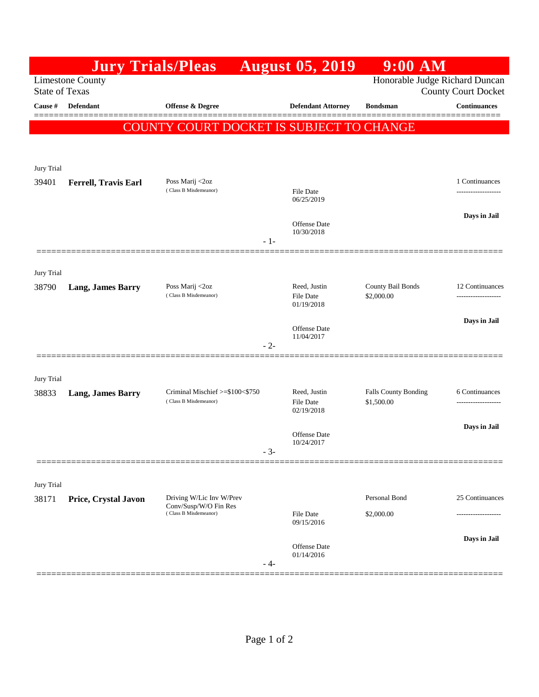|                       | <b>Jury Trials/Pleas</b>    |                                                                            |       | <b>August 05, 2019</b>            | $9:00$ AM                       |                     |
|-----------------------|-----------------------------|----------------------------------------------------------------------------|-------|-----------------------------------|---------------------------------|---------------------|
| <b>State of Texas</b> | <b>Limestone County</b>     | Honorable Judge Richard Duncan<br><b>County Court Docket</b>               |       |                                   |                                 |                     |
| Cause #               | Defendant                   | <b>Offense &amp; Degree</b>                                                |       | <b>Defendant Attorney</b>         | <b>Bondsman</b>                 | <b>Continuances</b> |
|                       |                             | COUNTY COURT DOCKET IS SUBJECT TO CHANGE                                   |       |                                   |                                 |                     |
|                       |                             |                                                                            |       |                                   |                                 |                     |
| Jury Trial            |                             |                                                                            |       |                                   |                                 |                     |
| 39401                 | <b>Ferrell, Travis Earl</b> | Poss Marij <2oz                                                            |       |                                   |                                 | 1 Continuances      |
|                       |                             | (Class B Misdemeanor)                                                      |       | File Date<br>06/25/2019           |                                 |                     |
|                       |                             |                                                                            |       | <b>Offense</b> Date               |                                 | Days in Jail        |
|                       |                             |                                                                            | $-1-$ | 10/30/2018                        |                                 |                     |
|                       |                             |                                                                            |       |                                   |                                 |                     |
| Jury Trial            |                             |                                                                            |       |                                   |                                 |                     |
| 38790                 | <b>Lang, James Barry</b>    | Poss Marij <2oz<br>(Class B Misdemeanor)                                   |       | Reed, Justin<br><b>File Date</b>  | County Bail Bonds<br>\$2,000.00 | 12 Continuances     |
|                       |                             |                                                                            |       | 01/19/2018                        |                                 |                     |
|                       |                             |                                                                            |       | <b>Offense</b> Date<br>11/04/2017 |                                 | Days in Jail        |
|                       |                             |                                                                            | $-2-$ |                                   |                                 |                     |
|                       |                             |                                                                            |       |                                   |                                 |                     |
| Jury Trial<br>38833   | <b>Lang, James Barry</b>    | Criminal Mischief >=\$100<\$750                                            |       | Reed, Justin                      | Falls County Bonding            | 6 Continuances      |
|                       |                             | (Class B Misdemeanor)                                                      |       | <b>File Date</b><br>02/19/2018    | \$1,500.00                      |                     |
|                       |                             |                                                                            |       | Offense Date                      |                                 | Days in Jail        |
|                       |                             |                                                                            | $-3-$ | 10/24/2017                        |                                 |                     |
|                       |                             |                                                                            |       |                                   |                                 |                     |
| Jury Trial            |                             |                                                                            |       |                                   |                                 |                     |
| 38171                 | Price, Crystal Javon        | Driving W/Lic Inv W/Prev<br>Conv/Susp/W/O Fin Res<br>(Class B Misdemeanor) |       |                                   | Personal Bond                   | 25 Continuances     |
|                       |                             |                                                                            |       | <b>File Date</b><br>09/15/2016    | \$2,000.00                      |                     |
|                       |                             |                                                                            |       | Offense Date                      |                                 | Days in Jail        |
|                       |                             |                                                                            | - 4-  | 01/14/2016                        |                                 |                     |
|                       |                             |                                                                            |       |                                   |                                 |                     |